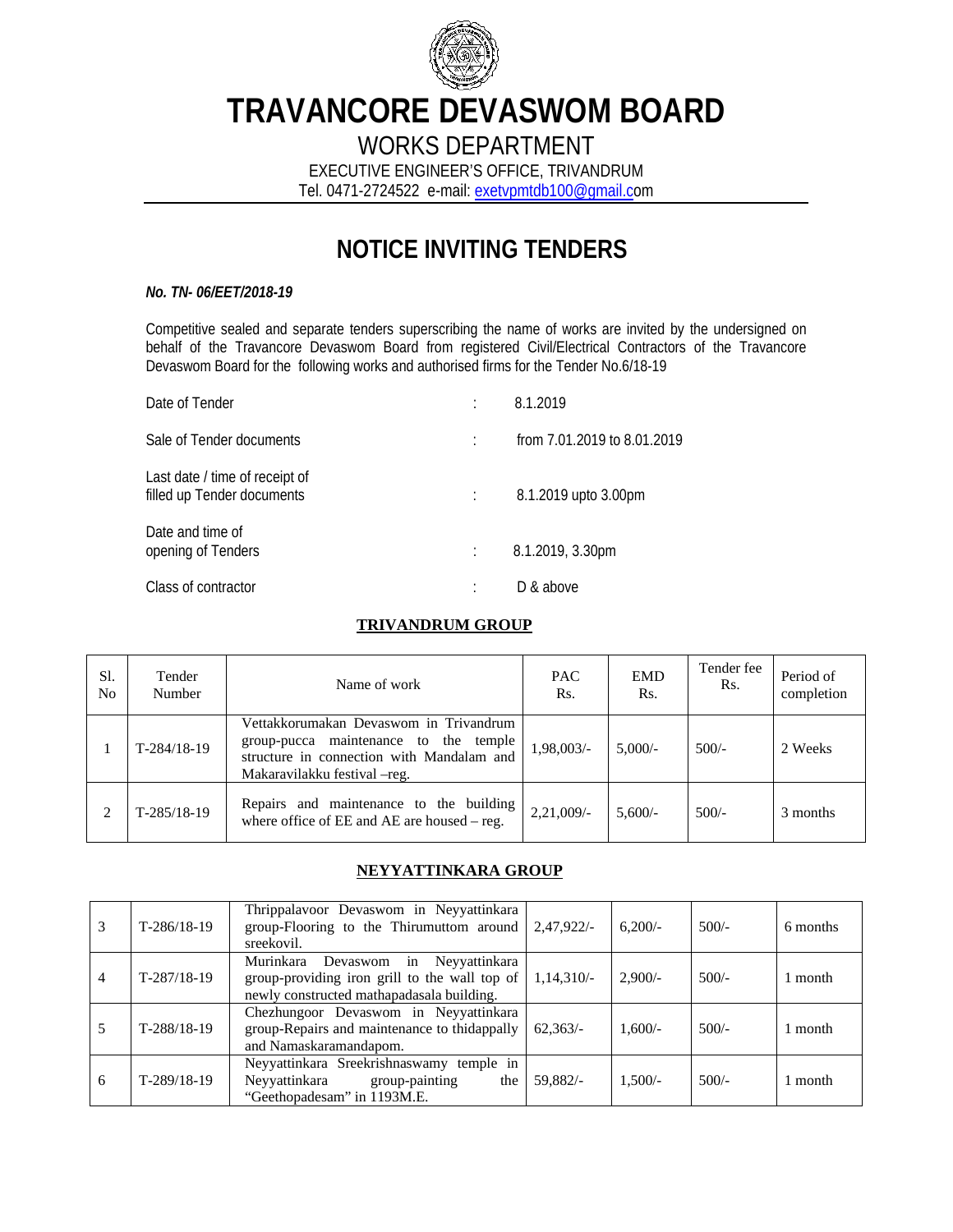

# **TRAVANCORE DEVASWOM BOARD**

WORKS DEPARTMENT

EXECUTIVE ENGINEER'S OFFICE, TRIVANDRUM Tel. 0471-2724522 e-mail: exetvpmtdb100@gmail.com

## **NOTICE INVITING TENDERS**

#### *No. TN- 06/EET/2018-19*

Competitive sealed and separate tenders superscribing the name of works are invited by the undersigned on behalf of the Travancore Devaswom Board from registered Civil/Electrical Contractors of the Travancore Devaswom Board for the following works and authorised firms for the Tender No.6/18-19

| Date of Tender                                               | 8.1.2019                    |
|--------------------------------------------------------------|-----------------------------|
| Sale of Tender documents                                     | from 7.01.2019 to 8.01.2019 |
| Last date / time of receipt of<br>filled up Tender documents | 8.1.2019 upto 3.00pm        |
| Date and time of<br>opening of Tenders                       | 8.1.2019, 3.30pm            |
| Class of contractor                                          | D & above                   |

#### **TRIVANDRUM GROUP**

| Sl.<br>N <sub>o</sub> | Tender<br>Number | Name of work                                                                                                                                                  | <b>PAC</b><br>Rs. | <b>EMD</b><br>Rs. | Tender fee<br>Rs. | Period of<br>completion |
|-----------------------|------------------|---------------------------------------------------------------------------------------------------------------------------------------------------------------|-------------------|-------------------|-------------------|-------------------------|
|                       | $T-284/18-19$    | Vettakkorumakan Devaswom in Trivandrum<br>group-pucca maintenance to the temple<br>structure in connection with Mandalam and<br>Makaravilakku festival – reg. | 1,98,003/-        | $5.000/-$         | $500/-$           | 2 Weeks                 |
| ↑                     | $T-285/18-19$    | Repairs and maintenance to the building<br>where office of EE and AE are housed – reg.                                                                        | $2.21,009/$ -     | $5,600/-$         | $500/-$           | 3 months                |

#### **NEYYATTINKARA GROUP**

| 3              | $T-286/18-19$ | Thrippalavoor Devaswom in Neyyattinkara<br>group-Flooring to the Thirumuttom around $\int 2,47,922/$ -<br>sreekovil.                 |              | $6,200/-$ | $500/-$ | 6 months |
|----------------|---------------|--------------------------------------------------------------------------------------------------------------------------------------|--------------|-----------|---------|----------|
| $\overline{4}$ | $T-287/18-19$ | Murinkara<br>Devaswom in Neyyattinkara<br>group-providing iron grill to the wall top of<br>newly constructed mathapadasala building. | $1,14,310/-$ | $2,900/-$ | $500/-$ | 1 month  |
| 5              | $T-288/18-19$ | Chezhungoor Devaswom in Neyyattinkara<br>group-Repairs and maintenance to thidappally<br>and Namaskaramandapom.                      | $62.363/-$   | $1.600/-$ | $500/-$ | 1 month  |
| 6              | $T-289/18-19$ | Neyyattinkara Sreekrishnaswamy temple in<br>Neyyattinkara group-painting<br>the<br>"Geethopadesam" in 1193M.E.                       | 59.882/-     | $1,500/-$ | $500/-$ | 1 month  |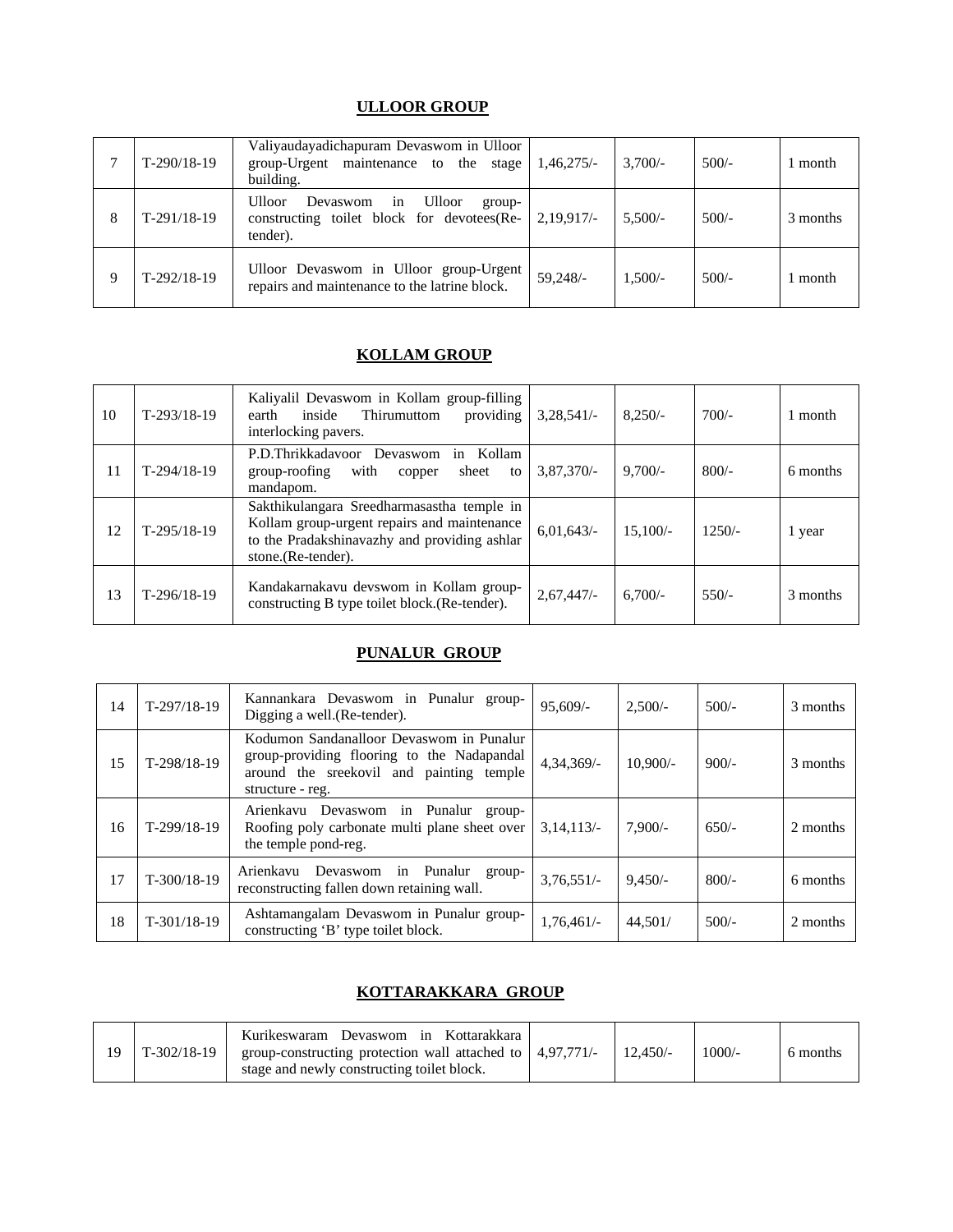### **ULLOOR GROUP**

|   | $T-290/18-19$ | Valiyaudayadichapuram Devaswom in Ulloor<br>group-Urgent maintenance to the stage<br>building.                       | $1,46,275/-$ | $3.700/-$ | $500/-$ | l month  |
|---|---------------|----------------------------------------------------------------------------------------------------------------------|--------------|-----------|---------|----------|
| 8 | $T-291/18-19$ | <b>Ulloor</b><br><b>Ulloor</b><br>Devaswom<br>in<br>group-<br>constructing toilet block for devotees(Re-<br>tender). | 2,19,917/    | $5.500/-$ | $500/-$ | 3 months |
| 9 | $T-292/18-19$ | Ulloor Devaswom in Ulloor group-Urgent<br>repairs and maintenance to the latrine block.                              | 59.248/-     | $1,500/-$ | $500/-$ | l month  |

#### **KOLLAM GROUP**

| 10 | $T-293/18-19$ | Kaliyalil Devaswom in Kollam group-filling<br>providing<br>inside<br>Thirumuttom<br>earth<br>interlocking pavers.                                               | $3,28,541/-$ | $8.250/-$  | $700/-$  | month    |
|----|---------------|-----------------------------------------------------------------------------------------------------------------------------------------------------------------|--------------|------------|----------|----------|
| 11 | $T-294/18-19$ | P.D.Thrikkadavoor Devaswom<br>in Kollam<br>group-roofing<br>with<br>sheet<br>to<br>copper<br>mandapom.                                                          | $3,87,370/-$ | $9,700/-$  | $800/-$  | 6 months |
| 12 | $T-295/18-19$ | Sakthikulangara Sreedharmasastha temple in<br>Kollam group-urgent repairs and maintenance<br>to the Pradakshinavazhy and providing ashlar<br>stone.(Re-tender). | 6,01,643/    | $15.100/-$ | $1250/-$ | 1 year   |
| 13 | $T-296/18-19$ | Kandakarnakavu devswom in Kollam group-<br>constructing B type toilet block. (Re-tender).                                                                       | 2,67,447/    | $6,700/-$  | $550/-$  | 3 months |

#### **PUNALUR GROUP**

| 14 | $T-297/18-19$ | Kannankara Devaswom in Punalur group-<br>Digging a well. (Re-tender).                                                                                  | $95.609/-$   | $2,500/-$  | $500/-$ | 3 months |
|----|---------------|--------------------------------------------------------------------------------------------------------------------------------------------------------|--------------|------------|---------|----------|
| 15 | T-298/18-19   | Kodumon Sandanalloor Devaswom in Punalur<br>group-providing flooring to the Nadapandal<br>around the sreekovil and painting temple<br>structure - reg. | $4,34,369/-$ | $10.900/-$ | $900/-$ | 3 months |
| 16 | $T-299/18-19$ | Arienkavu Devaswom in Punalur group-<br>Roofing poly carbonate multi plane sheet over<br>the temple pond-reg.                                          | 3,14,113/    | $7.900/-$  | $650/-$ | 2 months |
| 17 | $T-300/18-19$ | Devaswom in Punalur<br>Arienkavu<br>group-<br>reconstructing fallen down retaining wall.                                                               | $3,76,551/-$ | $9.450/-$  | $800/-$ | 6 months |
| 18 | $T-301/18-19$ | Ashtamangalam Devaswom in Punalur group-<br>constructing 'B' type toilet block.                                                                        | $1,76,461/-$ | 44,501/    | $500/-$ | 2 months |

#### **KOTTARAKKARA GROUP**

|  | $T-302/18-19$ | Kurikeswaram Devaswom in Kottarakkara<br>group-constructing protection wall attached to $\mid$ 4,97,771/-<br>stage and newly constructing toilet block. |  | $12.450/-$ | $1000/-$ | 6 months |
|--|---------------|---------------------------------------------------------------------------------------------------------------------------------------------------------|--|------------|----------|----------|
|--|---------------|---------------------------------------------------------------------------------------------------------------------------------------------------------|--|------------|----------|----------|